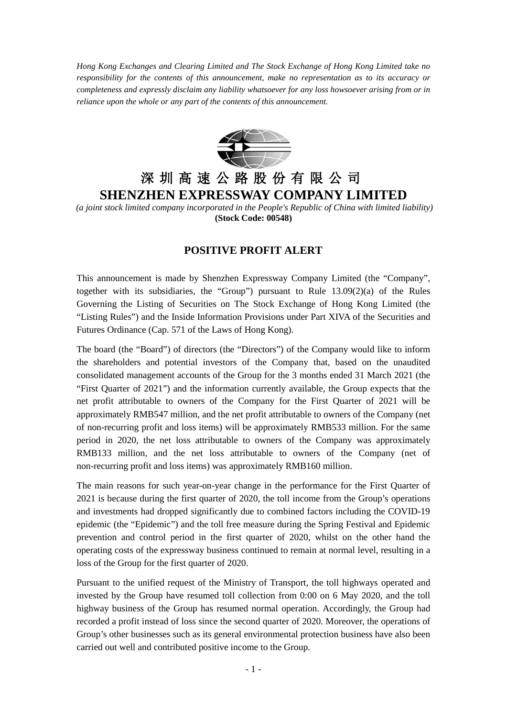*Hong Kong Exchanges and Clearing Limited and The Stock Exchange of Hong Kong Limited take no responsibility for the contents of this announcement, make no representation as to its accuracy or completeness and expressly disclaim any liability whatsoever for any loss howsoever arising from or in reliance upon the whole or any part of the contents of this announcement.*



## 深圳高速公路股份有限公司 **SHENZHEN EXPRESSWAY COMPANY LIMITED**

*(a joint stock limited company incorporated in the People's Republic of China with limited liability)* **(Stock Code: 00548)**

## **POSITIVE PROFIT ALERT**

This announcement is made by Shenzhen Expressway Company Limited (the "Company", together with its subsidiaries, the "Group") pursuant to Rule 13.09(2)(a) of the Rules Governing the Listing of Securities on The Stock Exchange of Hong Kong Limited (the "Listing Rules") and the Inside Information Provisions under Part XIVA of the Securities and Futures Ordinance (Cap. 571 of the Laws of Hong Kong).

The board (the "Board") of directors (the "Directors") of the Company would like to inform the shareholders and potential investors of the Company that, based on the unaudited consolidated management accounts of the Group for the 3 months ended 31 March 2021 (the "First Quarter of 2021") and the information currently available, the Group expects that the net profit attributable to owners of the Company for the First Quarter of 2021 will be approximately RMB547 million, and the net profit attributable to owners of the Company (net of non-recurring profit and loss items) will be approximately RMB533 million. For the same period in 2020, the net loss attributable to owners of the Company was approximately RMB133 million, and the net loss attributable to owners of the Company (net of non-recurring profit and loss items) was approximately RMB160 million.

The main reasons for such year-on-year change in the performance for the First Quarter of 2021 is because during the first quarter of 2020, the toll income from the Group's operations and investments had dropped significantly due to combined factors including the COVID-19 epidemic (the "Epidemic") and the toll free measure during the Spring Festival and Epidemic prevention and control period in the first quarter of 2020, whilst on the other hand the operating costs of the expressway business continued to remain at normal level, resulting in a loss of the Group for the first quarter of 2020.

Pursuant to the unified request of the Ministry of Transport, the toll highways operated and invested by the Group have resumed toll collection from 0:00 on 6 May 2020, and the toll highway business of the Group has resumed normal operation. Accordingly, the Group had recorded a profit instead of loss since the second quarter of 2020. Moreover, the operations of Group's other businesses such as its general environmental protection business have also been carried out well and contributed positive income to the Group.